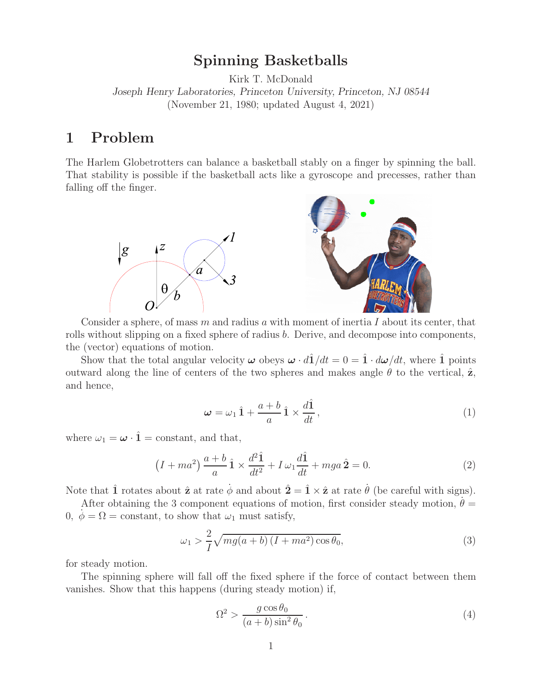# **Spinning Basketballs**

Kirk T. McDonald *Joseph Henry Laboratories, Princeton University, Princeton, NJ 08544* (November 21, 1980; updated August 4, 2021)

# **1 Problem**

The Harlem Globetrotters can balance a basketball stably on a finger by spinning the ball. That stability is possible if the basketball acts like a gyroscope and precesses, rather than falling off the finger.



Consider a sphere, of mass  $m$  and radius  $a$  with moment of inertia  $I$  about its center, that rolls without slipping on a fixed sphere of radius b. Derive, and decompose into components, the (vector) equations of motion.

Show that the total angular velocity  $\omega$  obeys  $\omega \cdot d\hat{1}/dt = 0 = \hat{1} \cdot d\omega/dt$ , where  $\hat{1}$  points outward along the line of centers of the two spheres and makes angle  $\theta$  to the vertical,  $\hat{z}$ , and hence,

$$
\omega = \omega_1 \hat{1} + \frac{a+b}{a} \hat{1} \times \frac{d\hat{1}}{dt}, \qquad (1)
$$

where  $\omega_1 = \boldsymbol{\omega} \cdot \hat{\mathbf{1}}$  = constant, and that,

$$
(I + ma2) \frac{a+b}{a} \hat{\mathbf{1}} \times \frac{d^{2}\hat{\mathbf{1}}}{dt^{2}} + I \omega_{1} \frac{d\hat{\mathbf{1}}}{dt} + mga \hat{\mathbf{2}} = 0.
$$
 (2)

Note that  $\hat{\mathbf{1}}$  rotates about  $\hat{\mathbf{z}}$  at rate  $\phi$  and about  $\hat{\mathbf{2}} = \hat{\mathbf{1}} \times \hat{\mathbf{z}}$  at rate  $\theta$  (be careful with signs).

After obtaining the 3 component equations of motion, first consider steady motion,  $\dot{\theta} =$ 0,  $\dot{\phi} = \Omega = \text{constant}$ , to show that  $\omega_1$  must satisfy,

$$
\omega_1 > \frac{2}{I} \sqrt{mg(a+b)\left(I + ma^2\right)\cos\theta_0},\tag{3}
$$

for steady motion.

The spinning sphere will fall off the fixed sphere if the force of contact between them vanishes. Show that this happens (during steady motion) if,

$$
\Omega^2 > \frac{g\cos\theta_0}{(a+b)\sin^2\theta_0} \,. \tag{4}
$$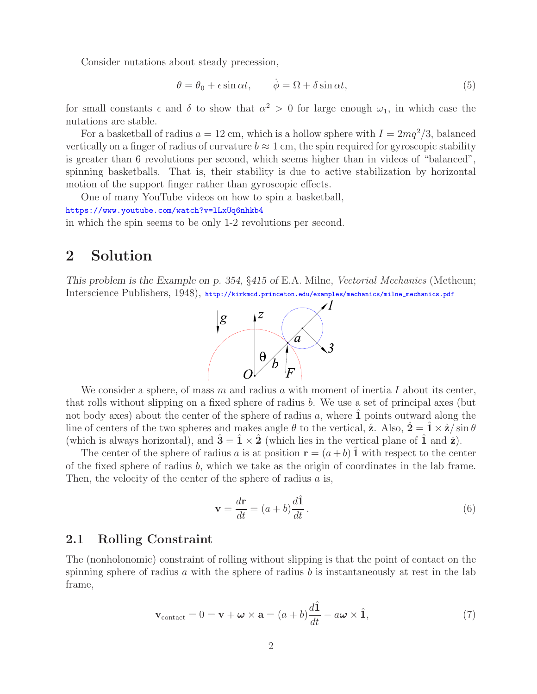Consider nutations about steady precession,

$$
\theta = \theta_0 + \epsilon \sin \alpha t, \qquad \dot{\phi} = \Omega + \delta \sin \alpha t, \tag{5}
$$

for small constants  $\epsilon$  and  $\delta$  to show that  $\alpha^2 > 0$  for large enough  $\omega_1$ , in which case the nutations are stable.

For a basketball of radius  $a = 12$  cm, which is a hollow sphere with  $I = 2mq^2/3$ , balanced vertically on a finger of radius of curvature  $b \approx 1$  cm, the spin required for gyroscopic stability is greater than 6 revolutions per second, which seems higher than in videos of "balanced", spinning basketballs. That is, their stability is due to active stabilization by horizontal motion of the support finger rather than gyroscopic effects.

One of many YouTube videos on how to spin a basketball, https://www.youtube.com/watch?v=lLxUq6nhkb4 in which the spin seems to be only 1-2 revolutions per second.

## **2 Solution**

*This problem is the Example on p. 354,* §*415 of* E.A. Milne, *Vectorial Mechanics* (Metheun; Interscience Publishers, 1948), http://kirkmcd.princeton.edu/examples/mechanics/milne\_mechanics.pdf



We consider a sphere, of mass  $m$  and radius  $a$  with moment of inertia  $I$  about its center, that rolls without slipping on a fixed sphere of radius b. We use a set of principal axes (but not body axes) about the center of the sphere of radius  $a$ , where  $\hat{1}$  points outward along the line of centers of the two spheres and makes angle  $\theta$  to the vertical,  $\hat{\mathbf{z}}$ . Also,  $\hat{\mathbf{2}} = \hat{\mathbf{1}} \times \hat{\mathbf{z}} / \sin \theta$ (which is always horizontal), and  $3 = 1 \times 2$  (which lies in the vertical plane of 1 and  $\hat{z}$ ).

The center of the sphere of radius a is at position  $\mathbf{r} = (a + b) \mathbf{1}$  with respect to the center of the fixed sphere of radius  $b$ , which we take as the origin of coordinates in the lab frame. Then, the velocity of the center of the sphere of radius  $a$  is,

$$
\mathbf{v} = \frac{d\mathbf{r}}{dt} = (a+b)\frac{d\hat{\mathbf{1}}}{dt}.
$$
\n(6)

#### **2.1 Rolling Constraint**

The (nonholonomic) constraint of rolling without slipping is that the point of contact on the spinning sphere of radius a with the sphere of radius b is instantaneously at rest in the lab frame,

$$
\mathbf{v}_{\text{contact}} = 0 = \mathbf{v} + \boldsymbol{\omega} \times \mathbf{a} = (a+b)\frac{d\hat{\mathbf{1}}}{dt} - a\boldsymbol{\omega} \times \hat{\mathbf{1}},\tag{7}
$$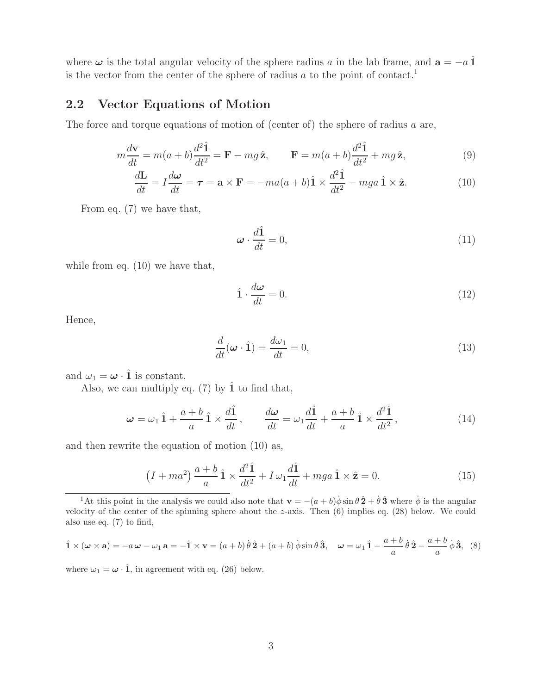where  $\omega$  is the total angular velocity of the sphere radius a in the lab frame, and  $\mathbf{a} = -a \hat{\mathbf{1}}$ is the vector from the center of the sphere of radius  $a$  to the point of contact.<sup>1</sup>

### **2.2 Vector Equations of Motion**

The force and torque equations of motion of (center of) the sphere of radius a are,

$$
m\frac{d\mathbf{v}}{dt} = m(a+b)\frac{d^2\hat{\mathbf{1}}}{dt^2} = \mathbf{F} - mg\,\hat{\mathbf{z}}, \qquad \mathbf{F} = m(a+b)\frac{d^2\hat{\mathbf{1}}}{dt^2} + mg\,\hat{\mathbf{z}}, \tag{9}
$$

$$
\frac{d\mathbf{L}}{dt} = I\frac{d\boldsymbol{\omega}}{dt} = \boldsymbol{\tau} = \mathbf{a} \times \mathbf{F} = -ma(a+b)\hat{\mathbf{1}} \times \frac{d^2\hat{\mathbf{1}}}{dt^2} - mga\hat{\mathbf{1}} \times \hat{\mathbf{z}}.
$$
(10)

From eq. (7) we have that,

$$
\omega \cdot \frac{d\hat{1}}{dt} = 0,\tag{11}
$$

while from eq. (10) we have that,

$$
\hat{\mathbf{1}} \cdot \frac{d\boldsymbol{\omega}}{dt} = 0. \tag{12}
$$

Hence,

$$
\frac{d}{dt}(\boldsymbol{\omega} \cdot \hat{\mathbf{1}}) = \frac{d\omega_1}{dt} = 0,\tag{13}
$$

and  $\omega_1 = \boldsymbol{\omega} \cdot \hat{\mathbf{1}}$  is constant.

Also, we can multiply eq.  $(7)$  by  $\hat{1}$  to find that,

$$
\omega = \omega_1 \hat{1} + \frac{a+b}{a} \hat{1} \times \frac{d\hat{1}}{dt}, \qquad \frac{d\omega}{dt} = \omega_1 \frac{d\hat{1}}{dt} + \frac{a+b}{a} \hat{1} \times \frac{d^2 \hat{1}}{dt^2}, \qquad (14)
$$

and then rewrite the equation of motion (10) as,

$$
(I + ma^2) \frac{a+b}{a} \hat{\mathbf{1}} \times \frac{d^2 \hat{\mathbf{1}}}{dt^2} + I \omega_1 \frac{d \hat{\mathbf{1}}}{dt} + mga \hat{\mathbf{1}} \times \hat{\mathbf{z}} = 0.
$$
 (15)

<sup>1</sup>At this point in the analysis we could also note that  $\mathbf{v} = -(a+b)\dot{\phi}\sin\theta\,\hat{\mathbf{2}} + \dot{\theta}\,\hat{\mathbf{3}}$  where  $\dot{\phi}$  is the angular velocity of the center of the spinning sphere about the  $z$ -axis. Then  $(6)$  implies eq.  $(28)$  below. We could also use eq. (7) to find,

$$
\hat{\mathbf{1}} \times (\boldsymbol{\omega} \times \mathbf{a}) = -a\,\boldsymbol{\omega} - \omega_1\,\mathbf{a} = -\hat{\mathbf{1}} \times \mathbf{v} = (a+b)\,\dot{\theta}\,\hat{\mathbf{2}} + (a+b)\,\dot{\phi}\sin\theta\,\hat{\mathbf{3}}, \quad \boldsymbol{\omega} = \omega_1\,\hat{\mathbf{1}} - \frac{a+b}{a}\,\dot{\theta}\,\hat{\mathbf{2}} - \frac{a+b}{a}\,\dot{\phi}\,\hat{\mathbf{3}}, \tag{8}
$$

where  $\omega_1 = \omega \cdot \hat{\mathbf{1}}$ , in agreement with eq. (26) below.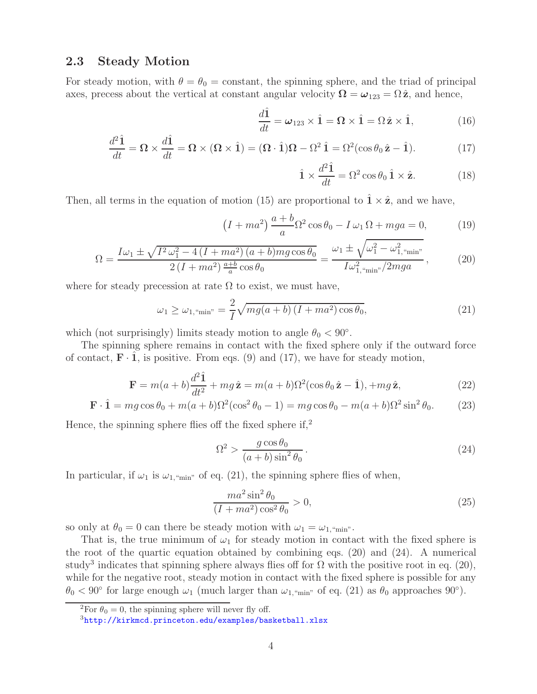### **2.3 Steady Motion**

For steady motion, with  $\theta = \theta_0 = \text{constant}$ , the spinning sphere, and the triad of principal axes, precess about the vertical at constant angular velocity  $\Omega = \omega_{123} = \Omega \hat{z}$ , and hence,

$$
\frac{d\hat{\mathbf{1}}}{dt} = \boldsymbol{\omega}_{123} \times \hat{\mathbf{1}} = \boldsymbol{\Omega} \times \hat{\mathbf{1}} = \boldsymbol{\Omega} \hat{\mathbf{z}} \times \hat{\mathbf{1}},\tag{16}
$$

$$
\frac{d^2\hat{\mathbf{1}}}{dt} = \mathbf{\Omega} \times \frac{d\hat{\mathbf{1}}}{dt} = \mathbf{\Omega} \times (\mathbf{\Omega} \times \hat{\mathbf{1}}) = (\mathbf{\Omega} \cdot \hat{\mathbf{1}})\mathbf{\Omega} - \Omega^2 \hat{\mathbf{1}} = \Omega^2(\cos\theta_0 \hat{\mathbf{z}} - \hat{\mathbf{1}}).
$$
(17)

$$
\hat{\mathbf{1}} \times \frac{d^2 \hat{\mathbf{1}}}{dt} = \Omega^2 \cos \theta_0 \hat{\mathbf{1}} \times \hat{\mathbf{z}}.
$$
 (18)

Then, all terms in the equation of motion (15) are proportional to  $\hat{\mathbf{1}} \times \hat{\mathbf{z}}$ , and we have,

$$
(I + ma^2) \frac{a+b}{a} \Omega^2 \cos \theta_0 - I \omega_1 \Omega + mga = 0,
$$
 (19)

$$
\Omega = \frac{I\omega_1 \pm \sqrt{I^2 \omega_1^2 - 4\left(I + ma^2\right)(a+b)mg\cos\theta_0}}{2\left(I + ma^2\right)\frac{a+b}{a}\cos\theta_0} = \frac{\omega_1 \pm \sqrt{\omega_1^2 - \omega_{1,\text{``min''}}^2}}{I\omega_{1,\text{``min''}}^2/2mga},\tag{20}
$$

where for steady precession at rate  $\Omega$  to exist, we must have,

$$
\omega_1 \ge \omega_{1,\text{``min''}} = \frac{2}{I} \sqrt{mg(a+b) \left(I + ma^2\right) \cos \theta_0},\tag{21}
$$

which (not surprisingly) limits steady motion to angle  $\theta_0 < 90^\circ$ .

The spinning sphere remains in contact with the fixed sphere only if the outward force of contact,  $\mathbf{F} \cdot \mathbf{1}$ , is positive. From eqs. (9) and (17), we have for steady motion,

$$
\mathbf{F} = m(a+b)\frac{d^2\hat{\mathbf{1}}}{dt^2} + mg\,\hat{\mathbf{z}} = m(a+b)\Omega^2(\cos\theta_0\,\hat{\mathbf{z}} - \hat{\mathbf{1}}), +mg\,\hat{\mathbf{z}},\tag{22}
$$

$$
\mathbf{F} \cdot \hat{\mathbf{1}} = mg \cos \theta_0 + m(a+b)\Omega^2(\cos^2 \theta_0 - 1) = mg \cos \theta_0 - m(a+b)\Omega^2 \sin^2 \theta_0. \tag{23}
$$

Hence, the spinning sphere flies off the fixed sphere  $\mathrm{if,}^2$ 

$$
\Omega^2 > \frac{g\cos\theta_0}{(a+b)\sin^2\theta_0} \,. \tag{24}
$$

In particular, if  $\omega_1$  is  $\omega_{1, \text{``min''}}$  of eq. (21), the spinning sphere flies of when,

$$
\frac{ma^2 \sin^2 \theta_0}{(I + ma^2) \cos^2 \theta_0} > 0,
$$
\n(25)

so only at  $\theta_0 = 0$  can there be steady motion with  $\omega_1 = \omega_{1,\text{``min''}}$ .

That is, the true minimum of  $\omega_1$  for steady motion in contact with the fixed sphere is the root of the quartic equation obtained by combining eqs. (20) and (24). A numerical study<sup>3</sup> indicates that spinning sphere always flies off for  $\Omega$  with the positive root in eq. (20), while for the negative root, steady motion in contact with the fixed sphere is possible for any  $\theta_0 < 90^\circ$  for large enough  $\omega_1$  (much larger than  $\omega_{1, \text{``min''}}$  of eq. (21) as  $\theta_0$  approaches  $90^\circ$ ).

<sup>&</sup>lt;sup>2</sup>For  $\theta_0 = 0$ , the spinning sphere will never fly off.

<sup>3</sup>http://kirkmcd.princeton.edu/examples/basketball.xlsx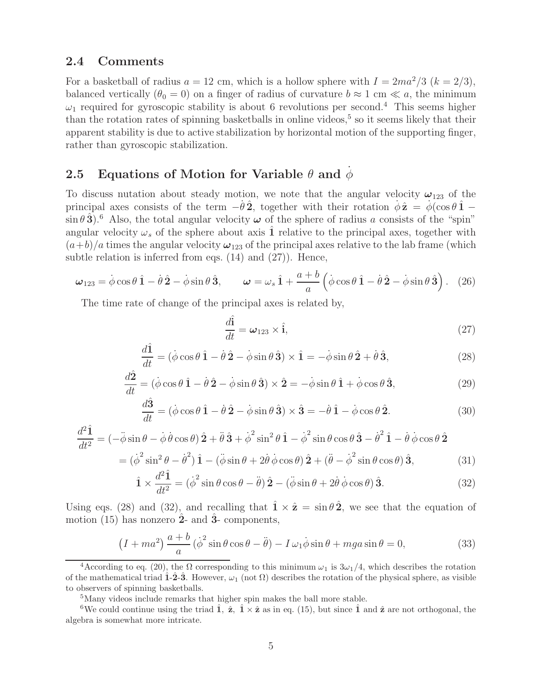#### **2.4 Comments**

For a basketball of radius  $a = 12$  cm, which is a hollow sphere with  $I = 2ma^2/3$  ( $k = 2/3$ ), balanced vertically ( $\theta_0 = 0$ ) on a finger of radius of curvature  $b \approx 1$  cm  $\ll a$ , the minimum  $\omega_1$  required for gyroscopic stability is about 6 revolutions per second.<sup>4</sup> This seems higher than the rotation rates of spinning basketballs in online videos,<sup>5</sup> so it seems likely that their apparent stability is due to active stabilization by horizontal motion of the supporting finger, rather than gyroscopic stabilization.

### **2.5 Equations of Motion for Variable**  $\theta$  and  $\phi$

To discuss nutation about steady motion, we note that the angular velocity  $\omega_{123}$  of the principal axes consists of the term  $-\dot{\theta}\hat{\mathbf{2}}$ , together with their rotation  $\dot{\phi}\hat{\mathbf{z}} = \dot{\phi}(\cos\theta\hat{\mathbf{1}} - \dot{\phi})$  $\sin \theta \hat{3}$ <sup>o</sup>.<sup>6</sup> Also, the total angular velocity  $\omega$  of the sphere of radius a consists of the "spin" angular velocity  $\omega_s$  of the sphere about axis  $\hat{1}$  relative to the principal axes, together with  $(a+b)/a$  times the angular velocity  $\omega_{123}$  of the principal axes relative to the lab frame (which subtle relation is inferred from eqs. (14) and (27)). Hence,

$$
\boldsymbol{\omega}_{123} = \dot{\phi}\cos\theta \hat{\mathbf{1}} - \dot{\theta}\hat{\mathbf{2}} - \dot{\phi}\sin\theta \hat{\mathbf{3}}, \qquad \boldsymbol{\omega} = \omega_s \hat{\mathbf{1}} + \frac{a+b}{a} \left(\dot{\phi}\cos\theta \hat{\mathbf{1}} - \dot{\theta}\hat{\mathbf{2}} - \dot{\phi}\sin\theta \hat{\mathbf{3}}\right). \tag{26}
$$

The time rate of change of the principal axes is related by,

$$
\frac{d\hat{\mathbf{i}}}{dt} = \boldsymbol{\omega}_{123} \times \hat{\mathbf{i}},\tag{27}
$$

$$
\frac{d\hat{\mathbf{1}}}{dt} = (\dot{\phi}\cos\theta \,\hat{\mathbf{1}} - \dot{\theta}\,\hat{\mathbf{2}} - \dot{\phi}\sin\theta \,\hat{\mathbf{3}}) \times \hat{\mathbf{1}} = -\dot{\phi}\sin\theta \,\hat{\mathbf{2}} + \dot{\theta}\,\hat{\mathbf{3}},\tag{28}
$$

$$
\frac{d\hat{\mathbf{2}}}{dt} = (\dot{\phi}\cos\theta\,\hat{\mathbf{1}} - \dot{\theta}\,\hat{\mathbf{2}} - \dot{\phi}\sin\theta\,\hat{\mathbf{3}}) \times \hat{\mathbf{2}} = -\dot{\phi}\sin\theta\,\hat{\mathbf{1}} + \dot{\phi}\cos\theta\,\hat{\mathbf{3}},\tag{29}
$$

$$
\frac{d\hat{\mathbf{3}}}{dt} = (\dot{\phi}\cos\theta\,\hat{\mathbf{1}} - \dot{\theta}\,\hat{\mathbf{2}} - \dot{\phi}\sin\theta\,\hat{\mathbf{3}}) \times \hat{\mathbf{3}} = -\dot{\theta}\,\hat{\mathbf{1}} - \dot{\phi}\cos\theta\,\hat{\mathbf{2}}.\tag{30}
$$

$$
\frac{d^2\hat{\mathbf{1}}}{dt^2} = \left(-\ddot{\phi}\sin\theta - \dot{\phi}\dot{\theta}\cos\theta\right)\hat{\mathbf{2}} + \ddot{\theta}\hat{\mathbf{3}} + \dot{\phi}^2\sin^2\theta\,\hat{\mathbf{1}} - \dot{\phi}^2\sin\theta\cos\theta\,\hat{\mathbf{3}} - \dot{\theta}^2\,\hat{\mathbf{1}} - \dot{\theta}\,\dot{\phi}\cos\theta\,\hat{\mathbf{2}} \n= \left(\dot{\phi}^2\sin^2\theta - \dot{\theta}^2\right)\hat{\mathbf{1}} - \left(\ddot{\phi}\sin\theta + 2\dot{\theta}\,\dot{\phi}\cos\theta\right)\hat{\mathbf{2}} + \left(\ddot{\theta} - \dot{\phi}^2\sin\theta\cos\theta\right)\hat{\mathbf{3}},
$$
\n(31)

$$
\hat{\mathbf{1}} \times \frac{d^2 \hat{\mathbf{1}}}{dt^2} = (\dot{\phi}^2 \sin \theta \cos \theta - \ddot{\theta}) \hat{\mathbf{2}} - (\ddot{\phi} \sin \theta + 2\dot{\theta} \dot{\phi} \cos \theta) \hat{\mathbf{3}}.
$$
 (32)

Using eqs. (28) and (32), and recalling that  $\hat{\mathbf{1}} \times \hat{\mathbf{z}} = \sin \theta \hat{\mathbf{2}}$ , we see that the equation of motion (15) has nonzero **2**ˆ- and **3**ˆ- components,

$$
(I + ma^2) \frac{a+b}{a} (\dot{\phi}^2 \sin \theta \cos \theta - \ddot{\theta}) - I \omega_1 \dot{\phi} \sin \theta + mga \sin \theta = 0,
$$
 (33)

<sup>&</sup>lt;sup>4</sup>According to eq. (20), the  $\Omega$  corresponding to this minimum  $\omega_1$  is  $3\omega_1/4$ , which describes the rotation of the mathematical triad  $\hat{1}$ - $\hat{2}$ - $\hat{3}$ . However,  $\omega_1$  (not  $\Omega$ ) describes the rotation of the physical sphere, as visible to observers of spinning basketballs.

<sup>5</sup>Many videos include remarks that higher spin makes the ball more stable.

<sup>&</sup>lt;sup>6</sup>We could continue using the triad  $\hat{\bf 1}$ ,  $\hat{\bf z}$ ,  $\hat{\bf 1} \times \hat{\bf z}$  as in eq. (15), but since  $\hat{\bf 1}$  and  $\hat{\bf z}$  are not orthogonal, the algebra is somewhat more intricate.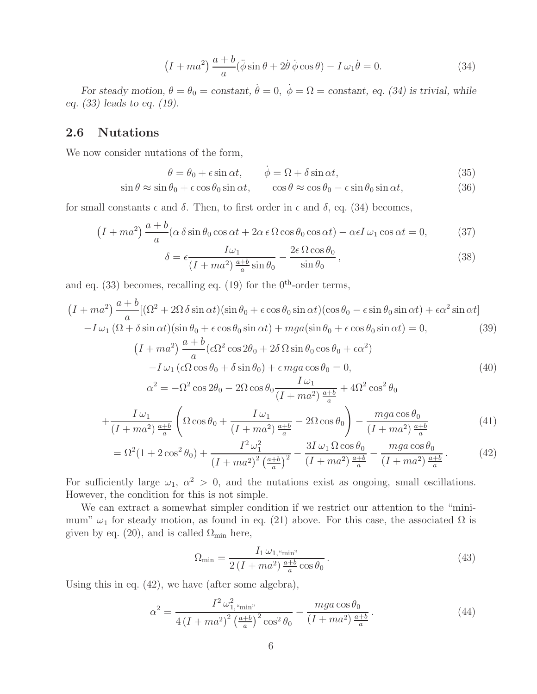$$
(I + ma^2) \frac{a+b}{a} (\ddot{\phi} \sin \theta + 2\dot{\theta} \dot{\phi} \cos \theta) - I \omega_1 \dot{\theta} = 0.
$$
 (34)

*For steady motion,*  $\theta = \theta_0 = constant$ ,  $\dot{\theta} = 0$ ,  $\dot{\phi} = \Omega = constant$ , eq. (34) is trivial, while *eq. (33) leads to eq. (19).*

#### **2.6 Nutations**

We now consider nutations of the form,

$$
\theta = \theta_0 + \epsilon \sin \alpha t, \qquad \dot{\phi} = \Omega + \delta \sin \alpha t, \tag{35}
$$

$$
\sin \theta \approx \sin \theta_0 + \epsilon \cos \theta_0 \sin \alpha t, \qquad \cos \theta \approx \cos \theta_0 - \epsilon \sin \theta_0 \sin \alpha t,\tag{36}
$$

for small constants  $\epsilon$  and  $\delta$ . Then, to first order in  $\epsilon$  and  $\delta$ , eq. (34) becomes,

$$
(I + ma^2) \frac{a+b}{a} (\alpha \delta \sin \theta_0 \cos \alpha t + 2\alpha \epsilon \Omega \cos \theta_0 \cos \alpha t) - \alpha \epsilon I \omega_1 \cos \alpha t = 0,
$$
 (37)

$$
\delta = \epsilon \frac{I\omega_1}{(I + ma^2)\frac{a+b}{a}\sin\theta_0} - \frac{2\epsilon\,\Omega\cos\theta_0}{\sin\theta_0},\tag{38}
$$

and eq. (33) becomes, recalling eq. (19) for the  $0^{th}$ -order terms,

$$
(I + ma^2) \frac{a+b}{a} [(\Omega^2 + 2\Omega \delta \sin \alpha t)(\sin \theta_0 + \epsilon \cos \theta_0 \sin \alpha t)(\cos \theta_0 - \epsilon \sin \theta_0 \sin \alpha t) + \epsilon \alpha^2 \sin \alpha t]
$$

$$
-I \omega_1 (\Omega + \delta \sin \alpha t)(\sin \theta_0 + \epsilon \cos \theta_0 \sin \alpha t) + mga(\sin \theta_0 + \epsilon \cos \theta_0 \sin \alpha t) = 0,
$$
(39)

$$
(I + ma^2) \frac{a+b}{a} (\epsilon \Omega^2 \cos 2\theta_0 + 2\delta \Omega \sin \theta_0 \cos \theta_0 + \epsilon \alpha^2)
$$
  

$$
-I \omega_1 (\epsilon \Omega \cos \theta_0 + \delta \sin \theta_0) + \epsilon mga \cos \theta_0 = 0,
$$
 (40)

$$
\alpha^{2} = -\Omega^{2} \cos 2\theta_{0} - 2\Omega \cos \theta_{0} \frac{I \omega_{1}}{(I + ma^{2})^{\frac{a+b}{a}}} + 4\Omega^{2} \cos^{2} \theta_{0}
$$
\n
$$
I \omega_{1} \qquad \qquad I \omega_{2} \qquad \qquad \Omega_{0} \cos \theta_{0}
$$

$$
+\frac{I\omega_1}{(I+ma^2)\frac{a+b}{a}}\left(\Omega\cos\theta_0+\frac{I\omega_1}{(I+ma^2)\frac{a+b}{a}}-2\Omega\cos\theta_0\right)-\frac{mga\cos\theta_0}{(I+ma^2)\frac{a+b}{a}}\tag{41}
$$

$$
= \Omega^2 (1 + 2\cos^2 \theta_0) + \frac{I^2 \omega_1^2}{(I + ma^2)^2 \left(\frac{a+b}{a}\right)^2} - \frac{3I \omega_1 \Omega \cos \theta_0}{(I + ma^2) \frac{a+b}{a}} - \frac{mga \cos \theta_0}{(I + ma^2) \frac{a+b}{a}}.
$$
(42)

For sufficiently large  $\omega_1$ ,  $\alpha^2 > 0$ , and the nutations exist as ongoing, small oscillations. However, the condition for this is not simple.

We can extract a somewhat simpler condition if we restrict our attention to the "minimum"  $\omega_1$  for steady motion, as found in eq. (21) above. For this case, the associated  $\Omega$  is given by eq. (20), and is called  $\Omega_{\text{min}}$  here,

$$
\Omega_{\min} = \frac{I_1 \omega_{1, \text{``min''}}}{2\left(I + ma^2\right) \frac{a+b}{a} \cos \theta_0}.
$$
\n
$$
(43)
$$

Using this in eq. (42), we have (after some algebra),

$$
\alpha^2 = \frac{I^2 \omega_{1,\text{``min''}}^2}{4 \left(I + ma^2\right)^2 \left(\frac{a+b}{a}\right)^2 \cos^2 \theta_0} - \frac{mga \cos \theta_0}{(I + ma^2) \frac{a+b}{a}}.\tag{44}
$$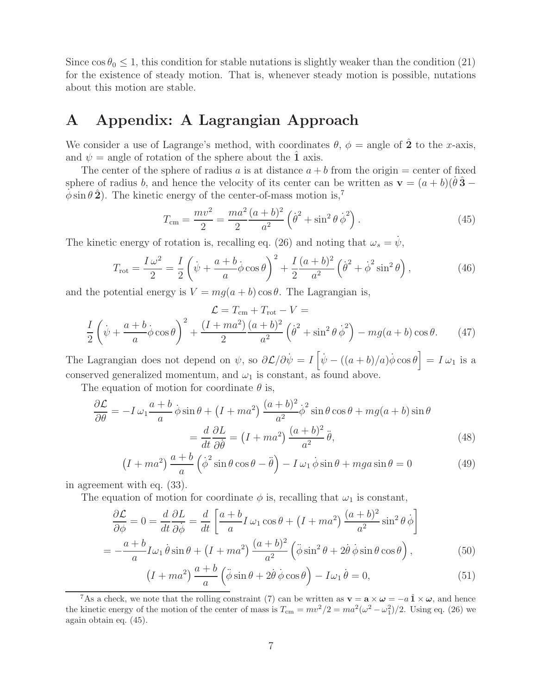Since  $\cos \theta_0 \leq 1$ , this condition for stable nutations is slightly weaker than the condition (21) for the existence of steady motion. That is, whenever steady motion is possible, nutations about this motion are stable.

# **A Appendix: A Lagrangian Approach**

We consider a use of Lagrange's method, with coordinates  $\theta$ ,  $\phi$  = angle of  $\hat{2}$  to the x-axis, and  $\psi$  = angle of rotation of the sphere about the **1** axis.

The center of the sphere of radius a is at distance  $a + b$  from the origin = center of fixed sphere of radius b, and hence the velocity of its center can be written as  $\mathbf{v} = (a + b)(\dot{\theta}\hat{\mathbf{3}} - b)$  $\phi$  sin  $\theta$  **2**). The kinetic energy of the center-of-mass motion is,<sup>7</sup>

$$
T_{\rm cm} = \frac{mv^2}{2} = \frac{ma^2}{2} \frac{(a+b)^2}{a^2} \left(\dot{\theta}^2 + \sin^2 \theta \, \dot{\phi}^2\right). \tag{45}
$$

The kinetic energy of rotation is, recalling eq. (26) and noting that  $\omega_s = \psi$ ,

$$
T_{\rm rot} = \frac{I\omega^2}{2} = \frac{I}{2}\left(\dot{\psi} + \frac{a+b}{a}\dot{\phi}\cos\theta\right)^2 + \frac{I}{2}\frac{(a+b)^2}{a^2}\left(\dot{\theta}^2 + \dot{\phi}^2\sin^2\theta\right),\tag{46}
$$

and the potential energy is  $V = mg(a + b) \cos \theta$ . The Lagrangian is,

$$
\mathcal{L} = T_{\rm cm} + T_{\rm rot} - V =
$$

$$
\frac{I}{2} \left( \dot{\psi} + \frac{a+b}{a} \dot{\phi} \cos \theta \right)^2 + \frac{(I + ma^2)(a+b)^2}{2} \left( \dot{\theta}^2 + \sin^2 \theta \dot{\phi}^2 \right) - mg(a+b) \cos \theta. \tag{47}
$$

The Lagrangian does not depend on  $\psi$ , so  $\partial \mathcal{L}/\partial \dot{\psi} = I \left[ \dot{\psi} - ((a+b)/a) \dot{\phi} \cos \theta \right] = I \omega_1$  is a conserved generalized momentum, and  $\omega_1$  is constant, as found above.

The equation of motion for coordinate  $\theta$  is,

$$
\frac{\partial \mathcal{L}}{\partial \theta} = -I \omega_1 \frac{a+b}{a} \dot{\phi} \sin \theta + (I + ma^2) \frac{(a+b)^2}{a^2} \dot{\phi}^2 \sin \theta \cos \theta + mg(a+b) \sin \theta
$$

$$
= \frac{d}{dt} \frac{\partial L}{\partial \dot{\theta}} = (I + ma^2) \frac{(a+b)^2}{a^2} \ddot{\theta}, \tag{48}
$$

$$
(I + ma^2) \frac{a+b}{a} (\dot{\phi}^2 \sin \theta \cos \theta - \ddot{\theta}) - I \omega_1 \dot{\phi} \sin \theta + mga \sin \theta = 0
$$
 (49)

in agreement with eq. (33).

The equation of motion for coordinate  $\phi$  is, recalling that  $\omega_1$  is constant,

$$
\frac{\partial \mathcal{L}}{\partial \phi} = 0 = \frac{d}{dt} \frac{\partial L}{\partial \dot{\phi}} = \frac{d}{dt} \left[ \frac{a+b}{a} I \omega_1 \cos \theta + (I + ma^2) \frac{(a+b)^2}{a^2} \sin^2 \theta \dot{\phi} \right]
$$

$$
= -\frac{a+b}{a} I \omega_1 \dot{\theta} \sin \theta + (I + ma^2) \frac{(a+b)^2}{a^2} \left( \ddot{\phi} \sin^2 \theta + 2 \dot{\theta} \dot{\phi} \sin \theta \cos \theta \right), \tag{50}
$$

$$
-\frac{1}{a}\ln b \sin b + (1 + ma) - \frac{1}{a^2} (\sqrt{3} \sin b + 2b \sqrt{3} \sin b \cos b),
$$
\n
$$
(1 + ma^2) \frac{a+b}{a} (\ddot{\phi} \sin \theta + 2\dot{\theta} \dot{\phi} \cos \theta) - I\omega_1 \dot{\theta} = 0,
$$
\n(51)

<sup>&</sup>lt;sup>7</sup>As a check, we note that the rolling constraint (7) can be written as  $\mathbf{v} = \mathbf{a} \times \boldsymbol{\omega} = -a \hat{\mathbf{1}} \times \boldsymbol{\omega}$ , and hence the kinetic energy of the motion of the center of mass is  $T_{\text{cm}} = mv^2/2 = ma^2(\omega^2 - \omega_1^2)/2$ . Using eq. (26) we again obtain eq. (45).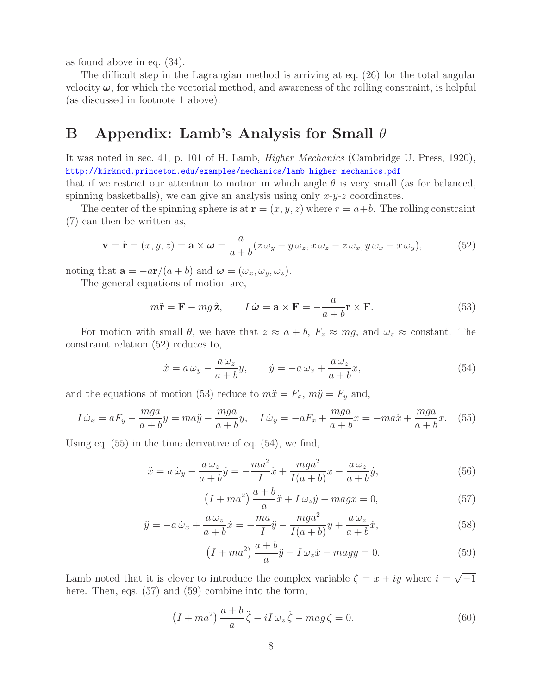as found above in eq. (34).

The difficult step in the Lagrangian method is arriving at eq. (26) for the total angular velocity  $\omega$ , for which the vectorial method, and awareness of the rolling constraint, is helpful (as discussed in footnote 1 above).

## **B Appendix: Lamb's Analysis for Small** θ

It was noted in sec. 41, p. 101 of H. Lamb, *Higher Mechanics* (Cambridge U. Press, 1920), http://kirkmcd.princeton.edu/examples/mechanics/lamb\_higher\_mechanics.pdf that if we restrict our attention to motion in which angle  $\theta$  is very small (as for balanced, spinning basketballs), we can give an analysis using only  $x-y-z$  coordinates.

The center of the spinning sphere is at  $\mathbf{r} = (x, y, z)$  where  $r = a+b$ . The rolling constraint (7) can then be written as,

$$
\mathbf{v} = \dot{\mathbf{r}} = (\dot{x}, \dot{y}, \dot{z}) = \mathbf{a} \times \boldsymbol{\omega} = \frac{a}{a+b} (z \omega_y - y \omega_z, x \omega_z - z \omega_x, y \omega_x - x \omega_y), \tag{52}
$$

noting that  $\mathbf{a} = -a\mathbf{r}/(a+b)$  and  $\boldsymbol{\omega} = (\omega_x, \omega_y, \omega_z)$ .

The general equations of motion are,

$$
m\ddot{\mathbf{r}} = \mathbf{F} - mg\,\hat{\mathbf{z}}, \qquad I\,\dot{\boldsymbol{\omega}} = \mathbf{a} \times \mathbf{F} = -\frac{a}{a+b}\mathbf{r} \times \mathbf{F}.
$$

For motion with small  $\theta$ , we have that  $z \approx a + b$ ,  $F_z \approx mg$ , and  $\omega_z \approx$  constant. The constraint relation (52) reduces to,

$$
\dot{x} = a\,\omega_y - \frac{a\,\omega_z}{a+b}y, \qquad \dot{y} = -a\,\omega_x + \frac{a\,\omega_z}{a+b}x,\tag{54}
$$

and the equations of motion (53) reduce to  $m\ddot{x} = F_x$ ,  $m\ddot{y} = F_y$  and,

$$
I\dot{\omega}_x = aF_y - \frac{mga}{a+b}y = ma\ddot{y} - \frac{mga}{a+b}y, \quad I\dot{\omega}_y = -aF_x + \frac{mga}{a+b}x = -ma\ddot{x} + \frac{mga}{a+b}x. \tag{55}
$$

Using eq. (55) in the time derivative of eq. (54), we find,

$$
\ddot{x} = a\,\dot{\omega}_y - \frac{a\,\omega_z}{a+b}\dot{y} = -\frac{ma^2}{I}\ddot{x} + \frac{mga^2}{I(a+b)}x - \frac{a\,\omega_z}{a+b}\dot{y},\tag{56}
$$

$$
(I + ma2) \frac{a+b}{a}\ddot{x} + I \omega_{z}\dot{y} - magx = 0,
$$
\n(57)

$$
\ddot{y} = -a\,\dot{\omega}_x + \frac{a\,\omega_z}{a+b}\dot{x} = -\frac{ma}{I}\ddot{y} - \frac{mga^2}{I(a+b)}y + \frac{a\,\omega_z}{a+b}\dot{x},\tag{58}
$$

$$
(I + ma2) \frac{a+b}{a} \ddot{y} - I \omega_z \dot{x} - magy = 0.
$$
 (59)

Lamb noted that it is clever to introduce the complex variable  $\zeta = x + iy$  where  $i = \sqrt{-1}$ here. Then, eqs.  $(57)$  and  $(59)$  combine into the form,

$$
(I + ma^2) \frac{a+b}{a} \ddot{\zeta} - iI \omega_z \dot{\zeta} - mag \zeta = 0.
$$
 (60)